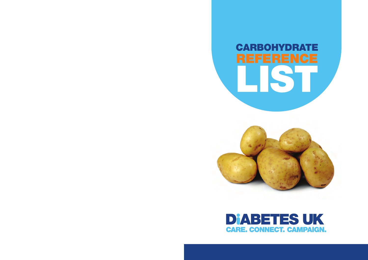# **CARBOHYDRATE LIST**



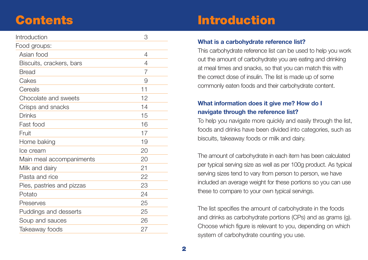## **Contents**

| Introduction              | 3              |
|---------------------------|----------------|
| Food groups:              |                |
| Asian food                | 4              |
| Biscuits, crackers, bars  | 4              |
| <b>Bread</b>              | $\overline{7}$ |
| Cakes                     | 9              |
| Cereals                   | 11             |
| Chocolate and sweets      | 12             |
| Crisps and snacks         | 14             |
| Drinks                    | 15             |
| Fast food                 | 16             |
| Fruit                     | 17             |
| Home baking               | 19             |
| Ice cream                 | 20             |
| Main meal accompaniments  | 20             |
| Milk and dairy            | 21             |
| Pasta and rice            | 22             |
| Pies, pastries and pizzas | 23             |
| Potato                    | 24             |
| Preserves                 | 25             |
| Puddings and desserts     | 25             |
| Soup and sauces           | 26             |
| Takeaway foods            | 27             |
|                           |                |

# **Introduction**

#### **What is a carbohydrate reference list?**

This carbohydrate reference list can be used to help you work out the amount of carbohydrate you are eating and drinking at meal times and snacks, so that you can match this with the correct dose of insulin. The list is made up of some commonly eaten foods and their carbohydrate content.

#### **What information does it give me? How do I navigate through the reference list?**

To help you navigate more quickly and easily through the list, foods and drinks have been divided into categories, such as biscuits, takeaway foods or milk and dairy.

The amount of carbohydrate in each item has been calculated per typical serving size as well as per 100g product. As typical serving sizes tend to vary from person to person, we have included an average weight for these portions so you can use these to compare to your own typical servings.

The list specifies the amount of carbohydrate in the foods and drinks as carbohydrate portions (CPs) and as grams (g). Choose which figure is relevant to you, depending on which system of carbohydrate counting you use.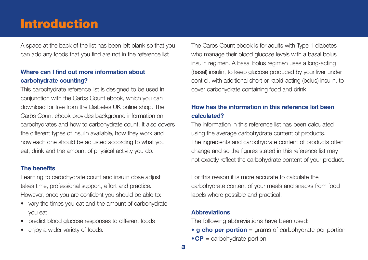## **Introduction**

A space at the back of the list has been left blank so that you can add any foods that you find are not in the reference list.

#### **Where can I find out more information about carbohydrate counting?**

This carbohydrate reference list is designed to be used in conjunction with the Carbs Count ebook, which you can download for free from the Diabetes UK online shop. The Carbs Count ebook provides background information on carbohydrates and how to carbohydrate count. It also covers the different types of insulin available, how they work and how each one should be adjusted according to what you eat, drink and the amount of physical activity you do.

#### **The benefits**

Learning to carbohydrate count and insulin dose adjust takes time, professional support, effort and practice. However, once you are confident you should be able to:

- vary the times you eat and the amount of carbohydrate you eat
- predict blood glucose responses to different foods
- enjoy a wider variety of foods.

The Carbs Count ebook is for adults with Type 1 diabetes who manage their blood glucose levels with a basal bolus insulin regimen. A basal bolus regimen uses a long-acting (basal) insulin, to keep glucose produced by your liver under control, with additional short or rapid-acting (bolus) insulin, to cover carbohydrate containing food and drink.

#### **How has the information in this reference list been calculated?**

The information in this reference list has been calculated using the average carbohydrate content of products. The ingredients and carbohydrate content of products often change and so the figures stated in this reference list may not exactly reflect the carbohydrate content of your product.

For this reason it is more accurate to calculate the carbohydrate content of your meals and snacks from food labels where possible and practical.

#### **Abbreviations**

The following abbreviations have been used:

• **g cho per portion** = grams of carbohydrate per portion • **CP** = carbohydrate portion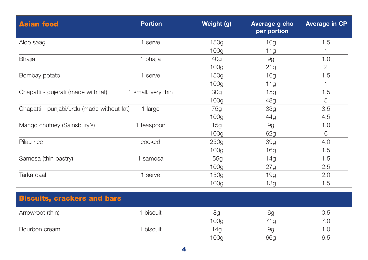| <b>Asian food</b>                          | <b>Portion</b>     | Weight (g)       | Average g cho<br>per portion | <b>Average in CP</b> |
|--------------------------------------------|--------------------|------------------|------------------------------|----------------------|
| Aloo saag                                  | 1 serve            | 150g             | 16g                          | 1.5                  |
|                                            |                    | 100 <sub>g</sub> | 11g                          | 1                    |
| <b>Bhajia</b>                              | 1 bhajia           | 40g              | 9g                           | 1.0                  |
|                                            |                    | 100 <sub>g</sub> | 21g                          | $\overline{2}$       |
| Bombay potato                              | 1 serve            | 150g             | 16g                          | 1.5                  |
|                                            |                    | 100 <sub>g</sub> | 11g                          |                      |
| Chapatti - gujerati (made with fat)        | 1 small, very thin | 30 <sub>g</sub>  | 15g                          | 1.5                  |
|                                            |                    | 100 <sub>g</sub> | 48g                          | 5                    |
| Chapatti - punjabi/urdu (made without fat) | 1 large            | 75g              | <b>33g</b>                   | 3.5                  |
|                                            |                    | 100 <sub>g</sub> | 44g                          | 4.5                  |
| Mango chutney (Sainsbury's)                | 1 teaspoon         | 15g              | 9g                           | 1.0                  |
|                                            |                    | 100 <sub>g</sub> | 62g                          | 6                    |
| Pilau rice                                 | cooked             | 250g             | <b>39g</b>                   | 4.0                  |
|                                            |                    | 100 <sub>g</sub> | 16g                          | 1.5                  |
| Samosa (thin pastry)                       | 1 samosa           | 55g              | 14g                          | 1.5                  |
|                                            |                    | 100 <sub>g</sub> | 27g                          | 2.5                  |
| Tarka daal                                 | 1 serve            | 150g             | 19g                          | 2.0                  |
|                                            |                    | 100g             | 13g                          | 1.5                  |
|                                            |                    |                  |                              |                      |
| <b>Biscuits, crackers and bars</b>         |                    |                  |                              |                      |
| Arrowroot (thin)                           | 1 biscuit          | 8g               | 6g                           | 0.5                  |
|                                            |                    | 100 <sub>g</sub> | 71g                          | 7.0                  |
| Bourbon cream                              | 1 biscuit          | 14g              | 9g                           | 1.0                  |
|                                            |                    | 100 <sub>g</sub> | 66g                          | 6.5                  |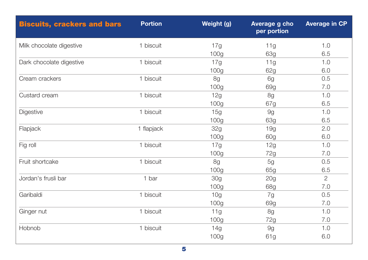| <b>Biscuits, crackers and bars</b> | <b>Portion</b> | Weight (g)       | Average g cho<br>per portion | <b>Average in CP</b> |
|------------------------------------|----------------|------------------|------------------------------|----------------------|
| Milk chocolate digestive           | 1 biscuit      | 17g              | 11g                          | 1.0                  |
|                                    |                | 100 <sub>g</sub> | <b>63g</b>                   | 6.5                  |
| Dark chocolate digestive           | 1 biscuit      | 17g              | 11g                          | 1.0                  |
|                                    |                | 100 <sub>g</sub> | 62g                          | 6.0                  |
| Cream crackers                     | 1 biscuit      | 8g               | 6g                           | 0.5                  |
|                                    |                | 100 <sub>g</sub> | 69g                          | 7.0                  |
| Custard cream                      | 1 biscuit      | 12g              | 8g                           | 1.0                  |
|                                    |                | 100 <sub>g</sub> | 67g                          | 6.5                  |
| Digestive                          | 1 biscuit      | 15g              | 9g                           | 1.0                  |
|                                    |                | 100g             | 63g                          | 6.5                  |
| Flapjack                           | 1 flapjack     | 32g              | 19g                          | 2.0                  |
|                                    |                | 100 <sub>g</sub> | 60g                          | 6.0                  |
| Fig roll                           | 1 biscuit      | 17g              | 12g                          | 1.0                  |
|                                    |                | 100g             | 72g                          | 7.0                  |
| Fruit shortcake                    | 1 biscuit      | 8g               | 5g                           | 0.5                  |
|                                    |                | 100 <sub>g</sub> | 65g                          | 6.5                  |
| Jordan's frusli bar                | 1 bar          | 30g              | 20g                          | $\overline{2}$       |
|                                    |                | 100 <sub>g</sub> | 68g                          | 7.0                  |
| Garibaldi                          | 1 biscuit      | 10 <sub>g</sub>  | 7g                           | 0.5                  |
|                                    |                | 100 <sub>g</sub> | 69g                          | 7.0                  |
| Ginger nut                         | 1 biscuit      | 11g              | 8g                           | 1.0                  |
|                                    |                | 100g             | 72g                          | 7.0                  |
| Hobnob                             | 1 biscuit      | 14g              | 9g                           | 1.0                  |
|                                    |                | 100g             | 61g                          | 6.0                  |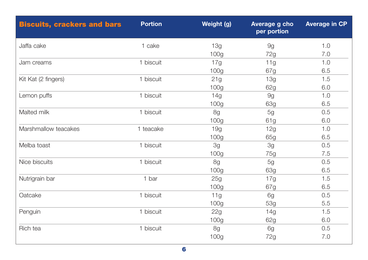| <b>Biscuits, crackers and bars</b> | <b>Portion</b> | Weight (g)       | Average g cho<br>per portion | <b>Average in CP</b> |
|------------------------------------|----------------|------------------|------------------------------|----------------------|
| Jaffa cake                         | 1 cake         | 13g              | 9g                           | 1.0                  |
|                                    |                | 100 <sub>g</sub> | 72g                          | 7.0                  |
| Jam creams                         | 1 biscuit      | 17g              | 11g                          | 1.0                  |
|                                    |                | 100 <sub>g</sub> | 67g                          | 6.5                  |
| Kit Kat (2 fingers)                | 1 biscuit      | 21g              | 13g                          | 1.5                  |
|                                    |                | 100 <sub>g</sub> | 62g                          | 6.0                  |
| Lemon puffs                        | 1 biscuit      | 14g              | 9g                           | 1.0                  |
|                                    |                | 100 <sub>g</sub> | <b>63g</b>                   | 6.5                  |
| Malted milk                        | 1 biscuit      | 8g               | 5g                           | 0.5                  |
|                                    |                | 100 <sub>g</sub> | 61g                          | 6.0                  |
| Marshmallow teacakes               | 1 teacake      | 19g              | 12g                          | 1.0                  |
|                                    |                | 100 <sub>g</sub> | 65g                          | 6.5                  |
| Melba toast                        | 1 biscuit      | 3g               | 3g                           | 0.5                  |
|                                    |                | 100 <sub>g</sub> | 75g                          | 7.5                  |
| Nice biscuits                      | 1 biscuit      | 8g               | 5g                           | 0.5                  |
|                                    |                | 100 <sub>g</sub> | 63g                          | 6.5                  |
| Nutrigrain bar                     | 1 bar          | 25g              | 17g                          | 1.5                  |
|                                    |                | 100g             | 67g                          | 6.5                  |
| Oatcake                            | 1 biscuit      | 11g              | 6g                           | 0.5                  |
|                                    |                | 100g             | 53g                          | 5.5                  |
| Penguin                            | 1 biscuit      | 22g              | 14g                          | 1.5                  |
|                                    |                | 100 <sub>g</sub> | 62g                          | 6.0                  |
| Rich tea                           | 1 biscuit      | 8g               | 6g                           | 0.5                  |
|                                    |                | 100g             | 72g                          | 7.0                  |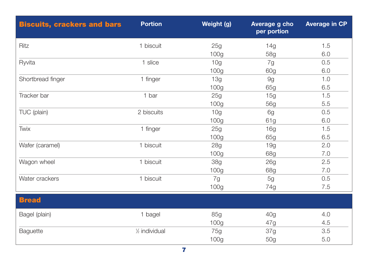| <b>Biscuits, crackers and bars</b> | <b>Portion</b>             | Weight (g)       | Average g cho<br>per portion | <b>Average in CP</b> |
|------------------------------------|----------------------------|------------------|------------------------------|----------------------|
| Ritz                               | 1 biscuit                  | 25g              | 14g                          | 1.5                  |
|                                    |                            | 100 <sub>g</sub> | 58g                          | 6.0                  |
| Ryvita                             | 1 slice                    | 10 <sub>g</sub>  | 7g                           | 0.5                  |
|                                    |                            | 100 <sub>g</sub> | 60g                          | 6.0                  |
| Shortbread finger                  | 1 finger                   | 13g              | 9g                           | 1.0                  |
|                                    |                            | 100 <sub>g</sub> | 65g                          | 6.5                  |
| Tracker bar                        | 1 bar                      | 25g              | 15g                          | 1.5                  |
|                                    |                            | 100 <sub>g</sub> | 56g                          | 5.5                  |
| TUC (plain)                        | 2 biscuits                 | 10 <sub>g</sub>  | 6g                           | 0.5                  |
|                                    |                            | 100 <sub>g</sub> | 61g                          | 6.0                  |
| Twix                               | 1 finger                   | 25g              | 16g                          | 1.5                  |
|                                    |                            | 100 <sub>g</sub> | 65g                          | 6.5                  |
| Wafer (caramel)                    | 1 biscuit                  | 28g              | 19g                          | 2.0                  |
|                                    |                            | 100 <sub>g</sub> | 68g                          | 7.0                  |
| Wagon wheel                        | 1 biscuit                  | <b>38g</b>       | 26g                          | 2.5                  |
|                                    |                            | 100g             | 68g                          | 7.0                  |
| Water crackers                     | 1 biscuit                  | 7g               | 5g                           | 0.5                  |
|                                    |                            | 100 <sub>g</sub> | 74g                          | 7.5                  |
| <b>Bread</b>                       |                            |                  |                              |                      |
| Bagel (plain)                      | 1 bagel                    | 85g              | 40 <sub>g</sub>              | 4.0                  |
|                                    |                            | 100 <sub>g</sub> | 47g                          | 4.5                  |
| Baguette                           | 1/ <sub>2</sub> individual | 75g              | 37g                          | 3.5                  |
|                                    |                            | 100 <sub>g</sub> | 50g                          | 5.0                  |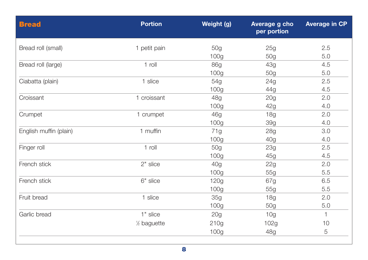| <b>Bread</b>           | <b>Portion</b>           | Weight (g)       | Average g cho<br>per portion | <b>Average in CP</b> |
|------------------------|--------------------------|------------------|------------------------------|----------------------|
| Bread roll (small)     | 1 petit pain             | 50g              | 25g                          | 2.5                  |
|                        |                          | 100 <sub>g</sub> | 50g                          | 5.0                  |
| Bread roll (large)     | 1 roll                   | <b>86g</b>       | 43g                          | 4.5                  |
|                        |                          | 100 <sub>g</sub> | 50g                          | 5.0                  |
| Ciabatta (plain)       | 1 slice                  | 54g              | 24g                          | 2.5                  |
|                        |                          | 100 <sub>g</sub> | 44g                          | 4.5                  |
| Croissant              | 1 croissant              | 48g              | 20 <sub>g</sub>              | 2.0                  |
|                        |                          | 100 <sub>g</sub> | 42g                          | 4.0                  |
| Crumpet                | 1 crumpet                | 46g              | 18g                          | 2.0                  |
|                        |                          | 100g             | <b>39g</b>                   | 4.0                  |
| English muffin (plain) | 1 muffin                 | 71g              | <b>28g</b>                   | 3.0                  |
|                        |                          | 100 <sub>g</sub> | 40g                          | 4.0                  |
| Finger roll            | 1 roll                   | 50g              | 23g                          | 2.5                  |
|                        |                          | 100 <sub>g</sub> | 45g                          | 4.5                  |
| French stick           | 2" slice                 | 40 <sub>q</sub>  | 22g                          | 2.0                  |
|                        |                          | 100 <sub>g</sub> | 55g                          | 5.5                  |
| French stick           | 6" slice                 | 120g             | 67g                          | 6.5                  |
|                        |                          | 100 <sub>g</sub> | 55g                          | 5.5                  |
| Fruit bread            | 1 slice                  | 35g              | 18g                          | 2.0                  |
|                        |                          | 100 <sub>g</sub> | 50g                          | 5.0                  |
| Garlic bread           | 1" slice                 | 20g              | 10 <sub>g</sub>              | $\mathbf{1}$         |
|                        | 1/ <sub>2</sub> baguette | 210g             | 102g                         | 10                   |
|                        |                          | 100 <sub>g</sub> | 48g                          | 5                    |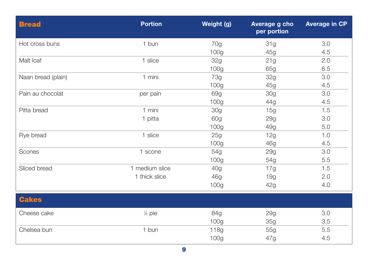| <b>Bread</b>       | <b>Portion</b> | Weight (g)       | Average g cho<br>per portion | <b>Average in CP</b> |
|--------------------|----------------|------------------|------------------------------|----------------------|
| Hot cross buns     | 1 bun          | 70g              | 31g                          | 3.0                  |
|                    |                | 100 <sub>g</sub> | 45g                          | 4.5                  |
| Malt loaf          | 1 slice        | <b>32g</b>       | 21g                          | 2.0                  |
|                    |                | 100 <sub>g</sub> | 65g                          | 6.5                  |
| Naan bread (plain) | 1 mini         | <b>73g</b>       | 32g                          | 3.0                  |
|                    |                | 100 <sub>g</sub> | 45g                          | 4.5                  |
| Pain au chocolat   | per pain       | 69g              | <b>30g</b>                   | 3.0                  |
|                    |                | 100 <sub>g</sub> | 44g                          | 4.5                  |
| Pitta bread        | 1 mini         | <b>30g</b>       | 15g                          | 1.5                  |
|                    | 1 pitta        | 60g              | <b>29g</b>                   | 3.0                  |
|                    |                | 100 <sub>g</sub> | 49g                          | 5.0                  |
| Rye bread          | 1 slice        | 25g              | 12g                          | 1.0                  |
|                    |                | 100 <sub>g</sub> | 46g                          | 4.5                  |
| Scones             | 1 scone        | 54g              | <b>29g</b>                   | 3.0                  |
|                    |                | 100 <sub>g</sub> | 54g                          | 5.5                  |
| Sliced bread       | 1 medium slice | 40g              | 17g                          | 1.5                  |
|                    | 1 thick slice  | 46g              | 19g                          | 2.0                  |
|                    |                | 100 <sub>g</sub> | 42g                          | 4.0                  |
| <b>Cakes</b>       |                |                  |                              |                      |
| Cheese cake        | % pie          | 84g              | <b>29g</b>                   | 3.0                  |
|                    |                | 100 <sub>g</sub> | 35g                          | 3.5                  |
| Chelsea bun        | 1 bun          | 118g             | 55g                          | 5.5                  |
|                    |                | 100g             | 47g                          | 4.5                  |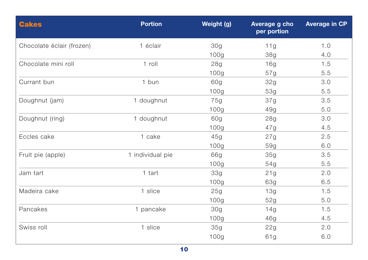| <b>Cakes</b>              | <b>Portion</b>   | Weight (g)       | Average g cho<br>per portion | <b>Average in CP</b> |
|---------------------------|------------------|------------------|------------------------------|----------------------|
| Chocolate éclair (frozen) | 1 éclair         | 30g              | 11g                          | 1.0                  |
|                           |                  | 100g             | 38g                          | 4.0                  |
| Chocolate mini roll       | 1 roll           | 28g              | 16g                          | 1.5                  |
|                           |                  | 100g             | 57g                          | 5.5                  |
| Currant bun               | 1 bun            | 60g              | 32g                          | 3.0                  |
|                           |                  | 100 <sub>g</sub> | 53g                          | 5.5                  |
| Doughnut (jam)            | 1 doughnut       | 75g              | 37g                          | 3.5                  |
|                           |                  | 100g             | 49g                          | 5.0                  |
| Doughnut (ring)           | 1 doughnut       | 60g              | 28g                          | 3.0                  |
|                           |                  | 100g             | 47g                          | 4.5                  |
| Eccles cake               | 1 cake           | 45g              | 27g                          | 2.5                  |
|                           |                  | 100g             | 59g                          | 6.0                  |
| Fruit pie (apple)         | 1 individual pie | 66g              | 35g                          | 3.5                  |
|                           |                  | 100g             | 54g                          | 5.5                  |
| Jam tart                  | 1 tart           | 33g              | 21g                          | 2.0                  |
|                           |                  | 100 <sub>g</sub> | 63g                          | 6.5                  |
| Madeira cake              | 1 slice          | 25g              | 13g                          | 1.5                  |
|                           |                  | 100g             | 52g                          | 5.0                  |
| Pancakes                  | 1 pancake        | 30g              | 14g                          | 1.5                  |
|                           |                  | 100 <sub>g</sub> | 46g                          | 4.5                  |
| Swiss roll                | 1 slice          | 35g              | 22g                          | 2.0                  |
|                           |                  | 100g             | 61g                          | 6.0                  |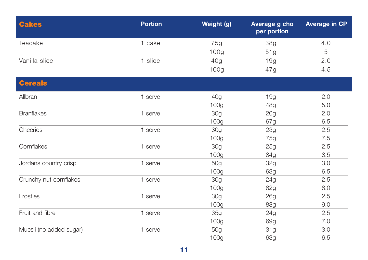| <b>Cakes</b>            | <b>Portion</b> | Weight (g)       | Average g cho<br>per portion | <b>Average in CP</b> |
|-------------------------|----------------|------------------|------------------------------|----------------------|
| Teacake                 | 1 cake         | 75g              | <b>38g</b>                   | 4.0                  |
|                         |                | 100g             | 51g                          | 5                    |
| Vanilla slice           | 1 slice        | 40 <sub>g</sub>  | 19g                          | 2.0                  |
|                         |                | 100g             | 47g                          | 4.5                  |
| <b>Cereals</b>          |                |                  |                              |                      |
| Allbran                 | 1 serve        | 40g              | 19g                          | 2.0                  |
|                         |                | 100 <sub>g</sub> | 48g                          | 5.0                  |
| <b>Branflakes</b>       | 1 serve        | 30 <sub>q</sub>  | 20 <sub>g</sub>              | 2.0                  |
|                         |                | 100g             | 67g                          | 6.5                  |
| Cheerios                | 1 serve        | 30g              | 23g                          | 2.5                  |
|                         |                | 100 <sub>g</sub> | 75g                          | 7.5                  |
| Cornflakes              | 1 serve        | 30 <sub>g</sub>  | 25g                          | 2.5                  |
|                         |                | 100 <sub>g</sub> | 84g                          | 8.5                  |
| Jordans country crisp   | 1 serve        | 50g              | 32g                          | 3.0                  |
|                         |                | 100 <sub>g</sub> | 63g                          | 6.5                  |
| Crunchy nut cornflakes  | 1 serve        | 30g              | 24g                          | 2.5                  |
|                         |                | 100 <sub>g</sub> | 82g                          | 8.0                  |
| Frosties                | 1 serve        | 30g              | 26g                          | 2.5                  |
|                         |                | 100 <sub>g</sub> | <b>88g</b>                   | 9.0                  |
| Fruit and fibre         | 1 serve        | 35g              | 24g                          | 2.5                  |
|                         |                | 100g             | 69g                          | 7.0                  |
| Muesli (no added sugar) | 1 serve        | 50g              | 31g                          | 3.0                  |
|                         |                | 100g             | <b>63g</b>                   | 6.5                  |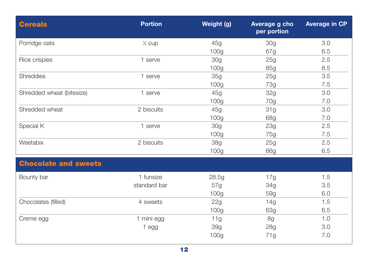| <b>Cereals</b>              | <b>Portion</b>    | Weight (g)       | Average g cho<br>per portion | <b>Average in CP</b> |
|-----------------------------|-------------------|------------------|------------------------------|----------------------|
| Porridge oats               | $\frac{1}{2}$ cup | 45g              | 30g                          | 3.0                  |
|                             |                   | 100 <sub>g</sub> | 67g                          | 6.5                  |
| Rice crispies               | 1 serve           | 30 <sub>g</sub>  | 25g                          | 2.5                  |
|                             |                   | 100 <sub>g</sub> | 85g                          | 8.5                  |
| <b>Shreddies</b>            | 1 serve           | 35g              | 25g                          | 3.5                  |
|                             |                   | 100 <sub>g</sub> | 73g                          | 7.5                  |
| Shredded wheat (bitesize)   | 1 serve           | 45g              | 32g                          | 3.0                  |
|                             |                   | 100 <sub>g</sub> | 70g                          | 7.0                  |
| Shredded wheat              | 2 biscuits        | 45g              | 31g                          | 3.0                  |
|                             |                   | 100 <sub>g</sub> | 68g                          | 7.0                  |
| Special K                   | 1 serve           | 30 <sub>g</sub>  | 23g                          | 2.5                  |
|                             |                   | 100 <sub>g</sub> | 75g                          | 7.5                  |
| Weetabix                    | 2 biscuits        | <b>38g</b>       | 25g                          | 2.5                  |
|                             |                   | 100g             | 66g                          | 6.5                  |
| <b>Chocolate and sweets</b> |                   |                  |                              |                      |
| Bounty bar                  | 1 funsize         | 28.5g            | 17g                          | 1.5                  |
|                             | standard bar      | 57g              | 34g                          | 3.5                  |
|                             |                   | 100 <sub>g</sub> | 59g                          | 6.0                  |
| Chocolates (filled)         | 4 sweets          | 22g              | 14g                          | 1.5                  |
|                             |                   | 100 <sub>g</sub> | 63g                          | 6.5                  |
| Creme egg                   | 1 mini egg        | 11g              | 8g                           | 1.0                  |
|                             | 1 egg             | 39g              | 28g                          | 3.0                  |
|                             |                   | 100g             | 71g                          | 7.0                  |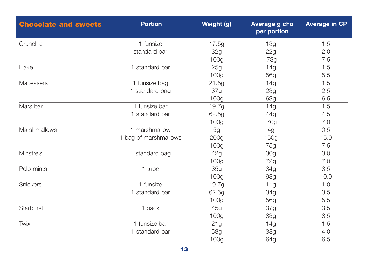| <b>Chocolate and sweets</b> | <b>Portion</b>        | Weight (g)       | Average g cho<br>per portion | <b>Average in CP</b> |
|-----------------------------|-----------------------|------------------|------------------------------|----------------------|
| Crunchie                    | 1 funsize             | 17.5g            | 13g                          | 1.5                  |
|                             | standard bar          | 32g              | 22g                          | 2.0                  |
|                             |                       | 100 <sub>g</sub> | <b>73g</b>                   | 7.5                  |
| Flake                       | 1 standard bar        | 25g              | 14g                          | 1.5                  |
|                             |                       | 100 <sub>g</sub> | 56g                          | 5.5                  |
| Malteasers                  | 1 funsize bag         | 21.5g            | 14g                          | 1.5                  |
|                             | 1 standard bag        | 37g              | 23g                          | 2.5                  |
|                             |                       | 100 <sub>g</sub> | 63g                          | 6.5                  |
| Mars bar                    | 1 funsize bar         | 19.7g            | 14g                          | 1.5                  |
|                             | 1 standard bar        | 62.5g            | 44g                          | 4.5                  |
|                             |                       | 100 <sub>g</sub> | 70g                          | 7.0                  |
| Marshmallows                | 1 marshmallow         | 5g               | 4g                           | 0.5                  |
|                             | 1 bag of marshmallows | 200 <sub>g</sub> | 150g                         | 15.0                 |
|                             |                       | 100 <sub>g</sub> | 75g                          | 7.5                  |
| <b>Minstrels</b>            | 1 standard bag        | 42g              | 30 <sub>g</sub>              | 3.0                  |
|                             |                       | 100 <sub>g</sub> | 72g                          | 7.0                  |
| Polo mints                  | 1 tube                | 35g              | 34g                          | 3.5                  |
|                             |                       | 100 <sub>g</sub> | 98g                          | 10.0                 |
| Snickers                    | 1 funsize             | 19.7g            | 11g                          | 1.0                  |
|                             | 1 standard bar        | 62.5g            | 34g                          | 3.5                  |
|                             |                       | 100 <sub>g</sub> | 56g                          | 5.5                  |
| Starburst                   | 1 pack                | 45g              | 37g                          | 3.5                  |
|                             |                       | 100 <sub>g</sub> | <b>83g</b>                   | 8.5                  |
| Twix                        | 1 funsize bar         | 21g              | 14g                          | 1.5                  |
|                             | 1 standard bar        | 58g              | 38g                          | 4.0                  |
|                             |                       | 100 <sub>g</sub> | 64g                          | 6.5                  |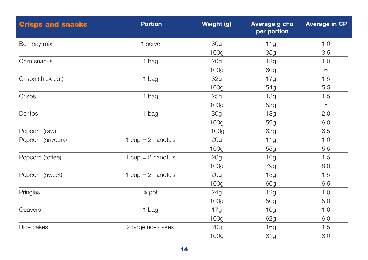| <b>Crisps and snacks</b> | <b>Portion</b>       | Weight (g)       | Average g cho<br>per portion | <b>Average in CP</b> |
|--------------------------|----------------------|------------------|------------------------------|----------------------|
| Bombay mix               | 1 serve              | 30 <sub>q</sub>  | 11g                          | 1.0                  |
|                          |                      | 100 <sub>g</sub> | 35g                          | 3.5                  |
| Corn snacks              | 1 bag                | 20g              | 12g                          | 1.0                  |
|                          |                      | 100 <sub>g</sub> | 60g                          | $6\,$                |
| Crisps (thick cut)       | 1 bag                | <b>32g</b>       | 17g                          | 1.5                  |
|                          |                      | 100 <sub>g</sub> | 54g                          | 5.5                  |
| Crisps                   | 1 bag                | 25g              | 13g                          | 1.5                  |
|                          |                      | 100 <sub>g</sub> | 53g                          | 5                    |
| <b>Doritos</b>           | 1 bag                | 30g              | 18g                          | 2.0                  |
|                          |                      | 100 <sub>g</sub> | 59g                          | 6.0                  |
| Popcorn (raw)            |                      | 100 <sub>g</sub> | 63g                          | 6.5                  |
| Popcorn (savoury)        | 1 $cup = 2$ handfuls | 20g              | 11g                          | 1.0                  |
|                          |                      | 100g             | 55g                          | 5.5                  |
| Popcorn (toffee)         | 1 $cup = 2$ handfuls | 20g              | 16g                          | 1.5                  |
|                          |                      | 100 <sub>g</sub> | 79g                          | 8.0                  |
| Popcorn (sweet)          | 1 $cup = 2$ handfuls | 20g              | 13g                          | 1.5                  |
|                          |                      | 100 <sub>g</sub> | 66g                          | 6.5                  |
| Pringles                 | $%$ pot              | 24g              | 12g                          | 1.0                  |
|                          |                      | 100g             | 50g                          | 5.0                  |
| Quavers                  | 1 bag                | 17g              | 10 <sub>g</sub>              | 1.0                  |
|                          |                      | 100 <sub>g</sub> | 62g                          | 6.0                  |
| Rice cakes               | 2 large rice cakes   | 20g              | 16g                          | 1.5                  |
|                          |                      | 100g             | 81g                          | 8.0                  |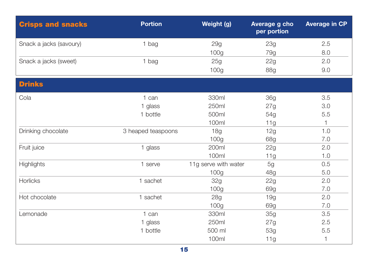| <b>Crisps and snacks</b> | <b>Portion</b>     | Weight (g)           | Average g cho<br>per portion | <b>Average in CP</b> |
|--------------------------|--------------------|----------------------|------------------------------|----------------------|
| Snack a jacks (savoury)  | 1 bag              | 29g                  | 23g                          | 2.5                  |
|                          |                    | 100 <sub>g</sub>     | 79g                          | 8.0                  |
| Snack a jacks (sweet)    | 1 bag              | 25g                  | 22g                          | 2.0                  |
|                          |                    | 100g                 | <b>88g</b>                   | 9.0                  |
| <b>Drinks</b>            |                    |                      |                              |                      |
| Cola                     | 1 can              | 330ml                | <b>36g</b>                   | 3.5                  |
|                          | 1 glass            | 250ml                | 27g                          | 3.0                  |
|                          | 1 bottle           | 500ml                | 54g                          | 5.5                  |
|                          |                    | 100ml                | 11g                          |                      |
| Drinking chocolate       | 3 heaped teaspoons | <b>18g</b>           | 12g                          | 1.0                  |
|                          |                    | 100 <sub>q</sub>     | 68g                          | 7.0                  |
| Fruit juice              | 1 glass            | 200ml                | 22g                          | 2.0                  |
|                          |                    | 100ml                | 11g                          | 1.0                  |
| <b>Highlights</b>        | 1 serve            | 11g serve with water | 5g                           | 0.5                  |
|                          |                    | 100g                 | 48g                          | 5.0                  |
| Horlicks                 | 1 sachet           | 32g                  | 22g                          | 2.0                  |
|                          |                    | 100 <sub>g</sub>     | 69g                          | 7.0                  |
| Hot chocolate            | 1 sachet           | <b>28g</b>           | 19g                          | 2.0                  |
|                          |                    | 100 <sub>q</sub>     | 69g                          | 7.0                  |
| Lemonade                 | 1 can              | 330ml                | 35g                          | 3.5                  |
|                          | 1 glass            | 250ml                | 27g                          | 2.5                  |
|                          | 1 bottle           | 500 ml               | 53g                          | 5.5                  |
|                          |                    | 100ml                | 11g                          | 1                    |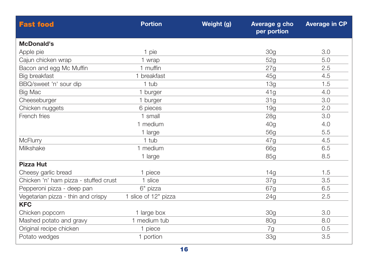| <b>Fast food</b>                      | <b>Portion</b>       | Weight (g) | Average g cho<br>per portion | <b>Average in CP</b> |
|---------------------------------------|----------------------|------------|------------------------------|----------------------|
| <b>McDonald's</b>                     |                      |            |                              |                      |
| Apple pie                             | 1 pie                |            | 30 <sub>q</sub>              | 3.0                  |
| Cajun chicken wrap                    | 1 wrap               |            | 52g                          | 5.0                  |
| Bacon and egg Mc Muffin               | 1 muffin             |            | 27g                          | 2.5                  |
| Big breakfast                         | 1 breakfast          |            | 45g                          | 4.5                  |
| BBQ/sweet 'n' sour dip                | 1 tub                |            | 13g                          | 1.5                  |
| <b>Big Mac</b>                        | 1 burger             |            | 41g                          | 4.0                  |
| Cheeseburger                          | 1 burger             |            | 31g                          | 3.0                  |
| Chicken nuggets                       | 6 pieces             |            | 19q                          | 2.0                  |
| French fries                          | 1 small              |            | 28g                          | 3.0                  |
|                                       | 1 medium             |            | 40g                          | 4.0                  |
|                                       | 1 large              |            | <b>56g</b>                   | 5.5                  |
| <b>McFlurry</b>                       | 1 tub                |            | 47g                          | 4.5                  |
| Milkshake                             | 1 medium             |            | 66g                          | 6.5                  |
|                                       | 1 large              |            | 85g                          | 8.5                  |
| <b>Pizza Hut</b>                      |                      |            |                              |                      |
| Cheesy garlic bread                   | 1 piece              |            | 14g                          | 1.5                  |
| Chicken 'n' ham pizza - stuffed crust | 1 slice              |            | 37g                          | 3.5                  |
| Pepperoni pizza - deep pan            | 6" pizza             |            | 67g                          | 6.5                  |
| Vegetarian pizza - thin and crispy    | 1 slice of 12" pizza |            | 24g                          | 2.5                  |
| <b>KFC</b>                            |                      |            |                              |                      |
| Chicken popcorn                       | 1 large box          |            | 30 <sub>q</sub>              | 3.0                  |
| Mashed potato and gravy               | 1 medium tub         |            | 80g                          | 8.0                  |
| Original recipe chicken               | 1 piece              |            | 7g                           | 0.5                  |
| Potato wedges                         | 1 portion            |            | <b>33g</b>                   | 3.5                  |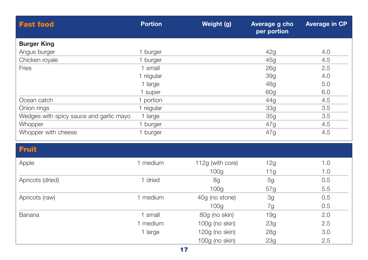| <b>Fast food</b>                        | <b>Portion</b> | Weight (g)       | Average g cho<br>per portion | <b>Average in CP</b> |
|-----------------------------------------|----------------|------------------|------------------------------|----------------------|
| <b>Burger King</b>                      |                |                  |                              |                      |
| Angus burger                            | 1 burger       |                  | 42g                          | 4.0                  |
| Chicken royale                          | 1 burger       |                  | 45g                          | 4.5                  |
| Fries                                   | 1 small        |                  | 26g                          | 2.5                  |
|                                         | 1 regular      |                  | <b>39g</b>                   | 4.0                  |
|                                         | 1 large        |                  | 48g                          | 5.0                  |
|                                         | 1 super        |                  | 60g                          | 6.0                  |
| Ocean catch                             | 1 portion      |                  | 44g                          | 4.5                  |
| Onion rings                             | 1 regular      |                  | <b>33g</b>                   | 3.5                  |
| Wedges with spicy sauce and garlic mayo | 1 large        |                  | <b>35g</b>                   | 3.5                  |
| Whopper                                 | 1 burger       |                  | 47g                          | 4.5                  |
| Whopper with cheese                     | 1 burger       |                  | 47g                          | 4.5                  |
| <b>Fruit</b>                            |                |                  |                              |                      |
| Apple                                   | 1 medium       | 112g (with core) | 12g                          | 1.0                  |
|                                         |                | 100 <sub>g</sub> | 11g                          | 1.0                  |
| Apricots (dried)                        | 1 dried        | 8g               | 5g                           | 0.5                  |
|                                         |                | 100 <sub>g</sub> | 57g                          | 5.5                  |
| Apricots (raw)                          | 1 medium       | 40g (no stone)   | 3g                           | 0.5                  |
|                                         |                | 100 <sub>g</sub> | 7g                           | 0.5                  |
| Banana                                  | 1 small        | 80g (no skin)    | 19g                          | 2.0                  |
|                                         | 1 medium       | 100g (no skin)   | 23g                          | 2.5                  |
|                                         | 1 large        | 120g (no skin)   | <b>28g</b>                   | 3.0                  |
|                                         |                | 100g (no skin)   | 23g                          | 2.5                  |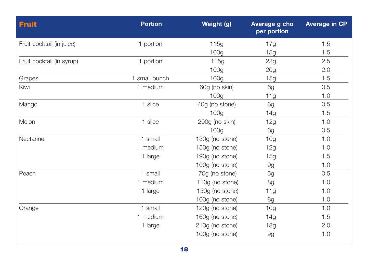| <b>Fruit</b>              | <b>Portion</b> | Weight (g)       | Average g cho<br>per portion | <b>Average in CP</b> |
|---------------------------|----------------|------------------|------------------------------|----------------------|
| Fruit cocktail (in juice) | 1 portion      | 115g             | 17g                          | 1.5                  |
|                           |                | 100 <sub>g</sub> | 15g                          | 1.5                  |
| Fruit cocktail (in syrup) | 1 portion      | 115g             | 23g                          | 2.5                  |
|                           |                | 100 <sub>g</sub> | 20g                          | 2.0                  |
| Grapes                    | 1 small bunch  | 100 <sub>g</sub> | 15g                          | 1.5                  |
| Kiwi                      | 1 medium       | 60g (no skin)    | 6g                           | 0.5                  |
|                           |                | 100 <sub>g</sub> | 11g                          | 1.0                  |
| Mango                     | 1 slice        | 40g (no stone)   | 6g                           | 0.5                  |
|                           |                | 100 <sub>g</sub> | 14g                          | 1.5                  |
| Melon                     | 1 slice        | 200g (no skin)   | 12g                          | 1.0                  |
|                           |                | 100g             | 6g                           | 0.5                  |
| Nectarine                 | 1 small        | 130g (no stone)  | 10 <sub>g</sub>              | 1.0                  |
|                           | 1 medium       | 150g (no stone)  | 12g                          | 1.0                  |
|                           | 1 large        | 190g (no stone)  | 15g                          | 1.5                  |
|                           |                | 100g (no stone)  | 9g                           | 1.0                  |
| Peach                     | 1 small        | 70g (no stone)   | 5g                           | 0.5                  |
|                           | 1 medium       | 110g (no stone)  | 8g                           | 1.0                  |
|                           | 1 large        | 150g (no stone)  | 11g                          | 1.0                  |
|                           |                | 100g (no stone)  | 8g                           | 1.0                  |
| Orange                    | 1 small        | 120g (no stone)  | 10 <sub>g</sub>              | 1.0                  |
|                           | 1 medium       | 160g (no stone)  | 14g                          | 1.5                  |
|                           | 1 large        | 210g (no stone)  | 18g                          | 2.0                  |
|                           |                | 100g (no stone)  | 9g                           | 1.0                  |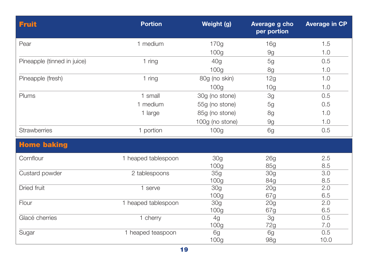| <b>Fruit</b>                | <b>Portion</b>      | Weight (g)             | Average g cho<br>per portion | <b>Average in CP</b> |
|-----------------------------|---------------------|------------------------|------------------------------|----------------------|
| Pear                        | 1 medium            | 170g                   | 16g                          | 1.5                  |
|                             |                     | 100 <sub>g</sub>       | 9g                           | 1.0                  |
| Pineapple (tinned in juice) | 1 ring              | 40 <sub>g</sub>        | 5g                           | 0.5                  |
|                             |                     | 100g                   | 8g                           | 1.0                  |
| Pineapple (fresh)           | 1 ring              | 80g (no skin)          | 12g                          | 1.0                  |
|                             |                     | 100 <sub>g</sub>       | 10 <sub>g</sub>              | 1.0                  |
| Plums                       | 1 small             | 30g (no stone)         | 3g                           | 0.5                  |
|                             | 1 medium            | 55g (no stone)         | 5g                           | 0.5                  |
|                             | 1 large             | 85g (no stone)         | 8g                           | 1.0                  |
|                             |                     | 100g (no stone)        | 9g                           | 1.0                  |
| Strawberries                | 1 portion           | 100 <sub>g</sub>       | 6g                           | 0.5                  |
| <b>Home baking</b>          |                     |                        |                              |                      |
|                             |                     |                        |                              |                      |
| Cornflour                   | 1 heaped tablespoon | 30 <sub>q</sub>        | 26g                          | 2.5                  |
|                             |                     | 100 <sub>g</sub>       | 85g                          | 8.5                  |
| Custard powder              | 2 tablespoons       | <b>35g</b>             | 30g                          | 3.0                  |
|                             |                     | 100 <sub>g</sub>       | 84g                          | 8.5                  |
| Dried fruit                 | 1 serve             | 30 <sub>q</sub>        | 20g                          | 2.0                  |
|                             |                     | 100 <sub>g</sub>       | 67g                          | 6.5                  |
| Flour                       | 1 heaped tablespoon | <b>30g</b>             | 20g                          | 2.0                  |
|                             |                     | 100g                   | 67g                          | 6.5                  |
| Glacé cherries              | 1 cherry            | 4g                     | 3g                           | 0.5                  |
| Sugar                       | 1 heaped teaspoon   | 100 <sub>g</sub><br>6g | 72g<br>6g                    | 7.0<br>0.5           |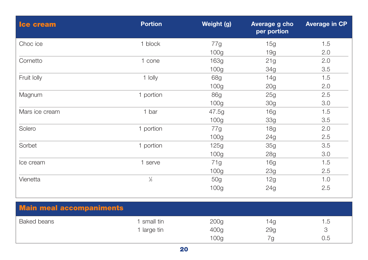| <b>Ice cream</b> | <b>Portion</b> | Weight (g)       | Average g cho<br>per portion | <b>Average in CP</b> |
|------------------|----------------|------------------|------------------------------|----------------------|
| Choc ice         | 1 block        | 77g              | 15g                          | 1.5                  |
|                  |                | 100 <sub>g</sub> | 19g                          | 2.0                  |
| Cornetto         | 1 cone         | 163g             | 21g                          | 2.0                  |
|                  |                | 100 <sub>g</sub> | 34g                          | 3.5                  |
| Fruit Iolly      | 1 lolly        | 68g              | 14g                          | 1.5                  |
|                  |                | 100 <sub>g</sub> | 20g                          | 2.0                  |
| Magnum           | 1 portion      | 86g              | 25g                          | 2.5                  |
|                  |                | 100 <sub>g</sub> | 30 <sub>g</sub>              | 3.0                  |
| Mars ice cream   | 1 bar          | 47.5g            | 16g                          | 1.5                  |
|                  |                | 100 <sub>g</sub> | 33g                          | 3.5                  |
| Solero           | 1 portion      | 77g              | <b>18g</b>                   | 2.0                  |
|                  |                | 100 <sub>g</sub> | 24g                          | 2.5                  |
| Sorbet           | 1 portion      | 125g             | 35g                          | 3.5                  |
|                  |                | 100 <sub>g</sub> | 28g                          | 3.0                  |
| Ice cream        | 1 serve        | 71g              | 16g                          | 1.5                  |
|                  |                | 100 <sub>g</sub> | 23g                          | 2.5                  |
| Vienetta         | $\frac{1}{6}$  | 50g              | 12g                          | 1.0                  |
|                  |                | 100 <sub>g</sub> | 24g                          | 2.5                  |

| <b>Main meal accompaniments</b> |                          |                          |            |     |
|---------------------------------|--------------------------|--------------------------|------------|-----|
| <b>Baked beans</b>              | small tin<br>1 large tin | 200 <sub>g</sub><br>400g | 14g<br>29g | .b  |
|                                 |                          | 100 <sub>g</sub>         |            | 0.5 |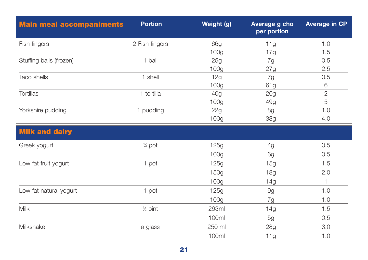| <b>Main meal accompaniments</b> | <b>Portion</b>     | Weight (g)       | Average g cho<br>per portion | <b>Average in CP</b> |
|---------------------------------|--------------------|------------------|------------------------------|----------------------|
| Fish fingers                    | 2 Fish fingers     | 66g              | 11g                          | 1.0                  |
|                                 |                    | 100 <sub>g</sub> | 17g                          | 1.5                  |
| Stuffing balls (frozen)         | 1 ball             | 25g              | 7g                           | 0.5                  |
|                                 |                    | 100 <sub>g</sub> | 27g                          | 2.5                  |
| Taco shells                     | 1 shell            | 12g              | 7g                           | 0.5                  |
|                                 |                    | 100 <sub>g</sub> | 61g                          | 6                    |
| <b>Tortillas</b>                | 1 tortilla         | 40g              | 20g                          | $\overline{2}$       |
|                                 |                    | 100 <sub>g</sub> | 49g                          | 5                    |
| Yorkshire pudding               | 1 pudding          | 22g              | 8g                           | 1.0                  |
|                                 |                    | 100g             | <b>38g</b>                   | 4.0                  |
| <b>Milk and dairy</b>           |                    |                  |                              |                      |
| Greek yogurt                    | $\frac{1}{4}$ pot  | 125g             | 4g                           | 0.5                  |
|                                 |                    | 100 <sub>g</sub> | 6g                           | 0.5                  |
| Low fat fruit yogurt            | 1 pot              | 125g             | 15g                          | 1.5                  |
|                                 |                    | 150g             | 18g                          | 2.0                  |
|                                 |                    | 100 <sub>g</sub> | 14g                          | $\mathbf{1}$         |
| Low fat natural yogurt          | 1 pot              | 125g             | 9g                           | 1.0                  |
|                                 |                    | 100 <sub>g</sub> | 7g                           | 1.0                  |
| <b>Milk</b>                     | $\frac{1}{2}$ pint | <b>293ml</b>     | 14g                          | 1.5                  |
|                                 |                    | 100ml            | 5g                           | 0.5                  |
| Milkshake                       | a glass            | 250 ml           | 28g                          | 3.0                  |
|                                 |                    | 100ml            | 11g                          | 1.0                  |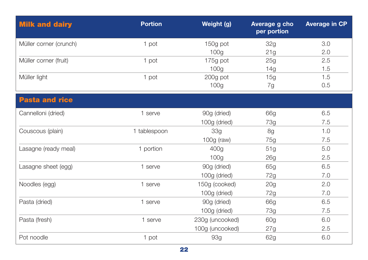| <b>Milk and dairy</b>  | <b>Portion</b> | Weight (g)       | Average g cho<br>per portion | <b>Average in CP</b> |
|------------------------|----------------|------------------|------------------------------|----------------------|
| Müller corner (crunch) | 1 pot          | 150g pot         | 32g                          | 3.0                  |
|                        |                | 100 <sub>g</sub> | 21g                          | 2.0                  |
| Müller corner (fruit)  | 1 pot          | 175g pot         | 25g                          | 2.5                  |
|                        |                | 100 <sub>g</sub> | 14g                          | 1.5                  |
| Müller light           | 1 pot          | 200g pot         | 15g                          | 1.5                  |
|                        |                | 100g             | 7g                           | 0.5                  |
| <b>Pasta and rice</b>  |                |                  |                              |                      |
| Cannelloni (dried)     | 1 serve        | 90g (dried)      | 66g                          | 6.5                  |
|                        |                | 100g (dried)     | 73g                          | 7.5                  |
| Couscous (plain)       | 1 tablespoon   | 33g              | 8g                           | 1.0                  |
|                        |                | 100g (raw)       | 75g                          | 7.5                  |
| Lasagne (ready meal)   | 1 portion      | 400g             | 51g                          | 5.0                  |
|                        |                | 100 <sub>g</sub> | 26g                          | 2.5                  |
| Lasagne sheet (egg)    | 1 serve        | 90g (dried)      | 65g                          | 6.5                  |
|                        |                | 100g (dried)     | 72g                          | 7.0                  |
| Noodles (egg)          | 1 serve        | 150g (cooked)    | 20 <sub>g</sub>              | 2.0                  |
|                        |                | 100g (dried)     | 72g                          | 7.0                  |
| Pasta (dried)          | 1 serve        | 90g (dried)      | 66g                          | 6.5                  |
|                        |                | 100g (dried)     | 73g                          | 7.5                  |
| Pasta (fresh)          | 1 serve        | 230g (uncooked)  | 60g                          | 6.0                  |
|                        |                | 100g (uncooked)  | 27g                          | 2.5                  |
| Pot noodle             | 1 pot          | 93g              | 62g                          | 6.0                  |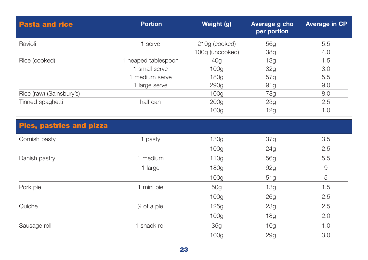| <b>Pasta and rice</b>           | <b>Portion</b>         | Weight (g)       | Average g cho<br>per portion | <b>Average in CP</b> |
|---------------------------------|------------------------|------------------|------------------------------|----------------------|
| Ravioli                         | 1 serve                | 210g (cooked)    | 56g                          | 5.5                  |
|                                 |                        | 100g (uncooked)  | <b>38g</b>                   | 4.0                  |
| Rice (cooked)                   | 1 heaped tablespoon    | 40 <sub>g</sub>  | 13g                          | 1.5                  |
|                                 | 1 small serve          | 100g             | 32g                          | 3.0                  |
|                                 | 1 medium serve         | 180g             | 57g                          | 5.5                  |
|                                 | 1 large serve          | 290 <sub>g</sub> | 91 <sub>q</sub>              | 9.0                  |
| Rice (raw) (Sainsbury's)        |                        | 100 <sub>g</sub> | 78g                          | 8.0                  |
| Tinned spaghetti                | half can               | 200 <sub>g</sub> | 23g                          | 2.5                  |
|                                 |                        | 100 <sub>g</sub> | 12g                          | 1.0                  |
| <b>Pies, pastries and pizza</b> |                        |                  |                              |                      |
| Cornish pasty                   | 1 pasty                | 130g             | 37g                          | 3.5                  |
|                                 |                        | 100 <sub>g</sub> | 24g                          | 2.5                  |
| Danish pastry                   | 1 medium               | 110g             | 56g                          | 5.5                  |
|                                 | 1 large                | 180g             | 92g                          | $\Theta$             |
|                                 |                        | 100 <sub>g</sub> | 51g                          | 5                    |
| Pork pie                        | 1 mini pie             | 50g              | 13g                          | 1.5                  |
|                                 |                        | 100 <sub>q</sub> | 26g                          | 2.5                  |
| Quiche                          | $\frac{1}{4}$ of a pie | 125g             | 23g                          | 2.5                  |
|                                 |                        | 100 <sub>g</sub> | 18 <sub>q</sub>              | 2.0                  |
| Sausage roll                    | 1 snack roll           | 35g              | 10 <sub>g</sub>              | 1.0                  |
|                                 |                        | 100g             | 29g                          | 3.0                  |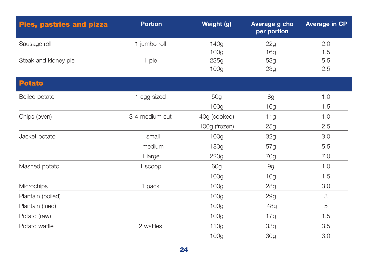| <b>Pies, pastries and pizza</b> | <b>Portion</b> | Weight (g)       | Average g cho<br>per portion | <b>Average in CP</b> |
|---------------------------------|----------------|------------------|------------------------------|----------------------|
| Sausage roll                    | 1 jumbo roll   | 140g             | 22g                          | 2.0                  |
|                                 |                | 100 <sub>g</sub> | 16 <sub>q</sub>              | 1.5                  |
| Steak and kidney pie            | 1 pie          | 235g             | 53g                          | 5.5                  |
|                                 |                | 100 <sub>g</sub> | 23g                          | 2.5                  |
| <b>Potato</b>                   |                |                  |                              |                      |
| Boiled potato                   | 1 egg sized    | 50g              | 8g                           | 1.0                  |
|                                 |                | 100 <sub>g</sub> | 16g                          | 1.5                  |
| Chips (oven)                    | 3-4 medium cut | 40g (cooked)     | 11g                          | 1.0                  |
|                                 |                | 100g (frozen)    | 25g                          | 2.5                  |
| Jacket potato                   | 1 small        | 100g             | 32g                          | 3.0                  |
|                                 | 1 medium       | 180g             | 57g                          | 5.5                  |
|                                 | 1 large        | 220g             | 70g                          | 7.0                  |
| Mashed potato                   | 1 scoop        | 60g              | 9g                           | 1.0                  |
|                                 |                | 100 <sub>g</sub> | 16g                          | 1.5                  |
| <b>Microchips</b>               | 1 pack         | 100 <sub>g</sub> | 28g                          | 3.0                  |
| Plantain (boiled)               |                | 100 <sub>g</sub> | 29g                          | $\mathcal{S}$        |
| Plantain (fried)                |                | 100 <sub>g</sub> | 48g                          | 5                    |
| Potato (raw)                    |                | 100 <sub>g</sub> | 17g                          | 1.5                  |
| Potato waffle                   | 2 waffles      | 110g             | 33g                          | 3.5                  |
|                                 |                | 100g             | <b>30g</b>                   | 3.0                  |
|                                 |                |                  |                              |                      |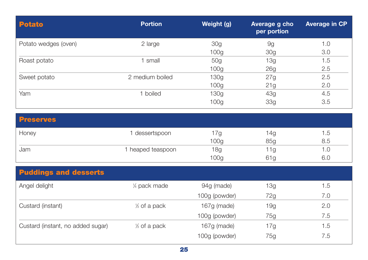| <b>Potato</b>                     | <b>Portion</b>            | Weight (g)               | Average g cho<br>per portion  | <b>Average in CP</b> |
|-----------------------------------|---------------------------|--------------------------|-------------------------------|----------------------|
| Potato wedges (oven)              | 2 large                   | 30g<br>100 <sub>g</sub>  | 9g<br>30 <sub>q</sub>         | 1.0<br>3.0           |
| Roast potato                      | 1 small                   | 50g<br>100 <sub>g</sub>  | 13g                           | 1.5<br>2.5           |
| Sweet potato                      | 2 medium boiled           | 130g<br>100 <sub>g</sub> | 26 <sub>q</sub><br>27g<br>21g | 2.5<br>2.0           |
| Yam                               | 1 boiled                  | 130g<br>100g             | 43g<br>33g                    | 4.5<br>3.5           |
| <b>Preserves</b>                  |                           |                          |                               |                      |
| Honey                             | 1 dessertspoon            | 17g<br>100 <sub>g</sub>  | 14g<br>85g                    | 1.5<br>8.5           |
| Jam                               | 1 heaped teaspoon         | 18g<br>100 <sub>g</sub>  | 11g<br>61g                    | 1.0<br>6.0           |
| <b>Puddings and desserts</b>      |                           |                          |                               |                      |
| Angel delight                     | 1/4 pack made             | 94g (made)               | 13g                           | 1.5                  |
|                                   |                           | 100g (powder)            | 72g                           | 7.0                  |
| Custard (instant)                 | 1/ <sub>3</sub> of a pack | 167g (made)              | 19g                           | 2.0                  |
|                                   |                           | 100g (powder)            | 75g                           | 7.5                  |
| Custard (instant, no added sugar) | 1/ <sub>2</sub> of a pack | 167g (made)              | 17g                           | 1.5                  |
|                                   |                           | 100g (powder)            | 75g                           | 7.5                  |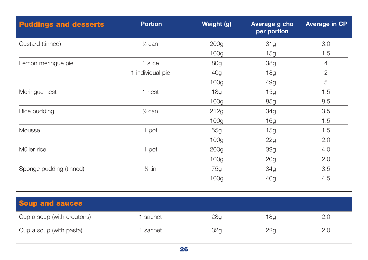| <b>Puddings and desserts</b> | <b>Portion</b>           | Weight (g)       | Average g cho<br>per portion | <b>Average in CP</b> |
|------------------------------|--------------------------|------------------|------------------------------|----------------------|
| Custard (tinned)             | $\frac{1}{2}$ can        | 200 <sub>g</sub> | 31g                          | 3.0                  |
|                              |                          | 100 <sub>g</sub> | 15g                          | 1.5                  |
| Lemon meringue pie           | 1 slice                  | 80g              | <b>38g</b>                   | 4                    |
|                              | 1 individual pie         | 40g              | 18g                          | $\overline{2}$       |
|                              |                          | 100 <sub>g</sub> | 49g                          | 5                    |
| Meringue nest                | 1 nest                   | 18g              | 15g                          | 1.5                  |
|                              |                          | 100 <sub>g</sub> | 85g                          | 8.5                  |
| Rice pudding                 | $\frac{1}{2}$ can        | 212g             | 34g                          | 3.5                  |
|                              |                          | 100 <sub>g</sub> | 16g                          | 1.5                  |
| Mousse                       | 1 pot                    | 55g              | 15g                          | 1.5                  |
|                              |                          | 100 <sub>g</sub> | 22g                          | 2.0                  |
| Müller rice                  | 1 pot                    | 200 <sub>g</sub> | <b>39g</b>                   | 4.0                  |
|                              |                          | 100 <sub>g</sub> | 20 <sub>g</sub>              | 2.0                  |
| Sponge pudding (tinned)      | $\frac{1}{4}$ tin        | 75g              | 34g                          | 3.5                  |
|                              |                          | 100 <sub>g</sub> | 46g                          | 4.5                  |
|                              |                          |                  |                              |                      |
|                              |                          |                  |                              |                      |
| <b>Soup and sauces</b>       |                          |                  |                              |                      |
| $\sim$<br>$\sqrt{1}$         | <b>Contract Contract</b> | $\sim$ $\sim$    | $\sim$                       | $\sim$ $\sim$        |

| Cup a soup (with croutons) | sachet | 28a | 18g |  |
|----------------------------|--------|-----|-----|--|
| Cup a soup (with pasta)    | sachet | 32g | 22g |  |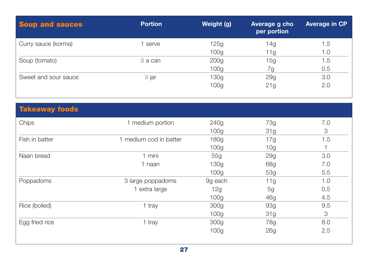| <b>Soup and sauces</b> | <b>Portion</b>      | Weight (g)       | Average g cho<br>per portion | <b>Average in CP</b> |
|------------------------|---------------------|------------------|------------------------------|----------------------|
| Curry sauce (korma)    | 1 serve             | 125g             | 14g                          | l .5                 |
|                        |                     | 100 <sub>g</sub> | 11g                          | 1.0                  |
| Soup (tomato)          | $\frac{1}{2}$ a can | 200 <sub>g</sub> | 15g                          | 1.5                  |
|                        |                     | 100 <sub>g</sub> | 7g                           | 0.5                  |
| Sweet and sour sauce   | $\frac{1}{4}$ jar   | 130g             | 29g                          | 3.0                  |
|                        |                     | 100 <sub>g</sub> | 21g                          | 2.0                  |
|                        |                     |                  |                              |                      |
| <b>Takeaway foods</b>  |                     |                  |                              |                      |

| Chips          | 1 medium portion       | 240g             | 73g             | 7.0 |
|----------------|------------------------|------------------|-----------------|-----|
|                |                        | 100 <sub>g</sub> | 31g             | 3   |
| Fish in batter | 1 medium cod in batter | 180g             | 17g             | 1.5 |
|                |                        | 100 <sub>g</sub> | 10 <sub>g</sub> |     |
| Naan bread     | 1 mini                 | 55g              | 29g             | 3.0 |
|                | 1 naan                 | 130g             | 68g             | 7.0 |
|                |                        | 100 <sub>g</sub> | 53g             | 5.5 |
| Poppadoms      | 3 large poppadoms      | 9g each          | 11g             | 1.0 |
|                | 1 extra large          | 12g              | 5g              | 0.5 |
|                |                        | 100 <sub>g</sub> | 46g             | 4.5 |
| Rice (boiled)  | 1 tray                 | 300 <sub>g</sub> | 93g             | 9.5 |
|                |                        | 100 <sub>g</sub> | 31g             | 3   |
| Egg fried rice | 1 tray                 | 300g             | 78g             | 8.0 |
|                |                        | 100 <sub>g</sub> | 26g             | 2.5 |
|                |                        |                  |                 |     |